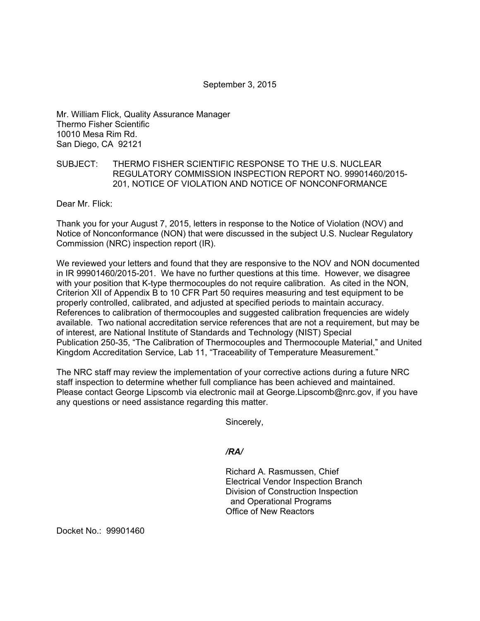Mr. William Flick, Quality Assurance Manager Thermo Fisher Scientific 10010 Mesa Rim Rd. San Diego, CA 92121

# SUBJECT: THERMO FISHER SCIENTIFIC RESPONSE TO THE U.S. NUCLEAR REGULATORY COMMISSION INSPECTION REPORT NO. 99901460/2015- 201, NOTICE OF VIOLATION AND NOTICE OF NONCONFORMANCE

Dear Mr. Flick:

Thank you for your August 7, 2015, letters in response to the Notice of Violation (NOV) and Notice of Nonconformance (NON) that were discussed in the subject U.S. Nuclear Regulatory Commission (NRC) inspection report (IR).

We reviewed your letters and found that they are responsive to the NOV and NON documented in IR 99901460/2015-201. We have no further questions at this time. However, we disagree with your position that K-type thermocouples do not require calibration. As cited in the NON, Criterion XII of Appendix B to 10 CFR Part 50 requires measuring and test equipment to be properly controlled, calibrated, and adjusted at specified periods to maintain accuracy. References to calibration of thermocouples and suggested calibration frequencies are widely available. Two national accreditation service references that are not a requirement, but may be of interest, are National Institute of Standards and Technology (NIST) Special Publication 250-35, "The Calibration of Thermocouples and Thermocouple Material," and United Kingdom Accreditation Service, Lab 11, "Traceability of Temperature Measurement."

The NRC staff may review the implementation of your corrective actions during a future NRC staff inspection to determine whether full compliance has been achieved and maintained. Please contact George Lipscomb via electronic mail at George.Lipscomb@nrc.gov, if you have any questions or need assistance regarding this matter.

Sincerely,

## */RA/*

Richard A. Rasmussen, Chief Electrical Vendor Inspection Branch Division of Construction Inspection and Operational Programs Office of New Reactors

Docket No.: 99901460